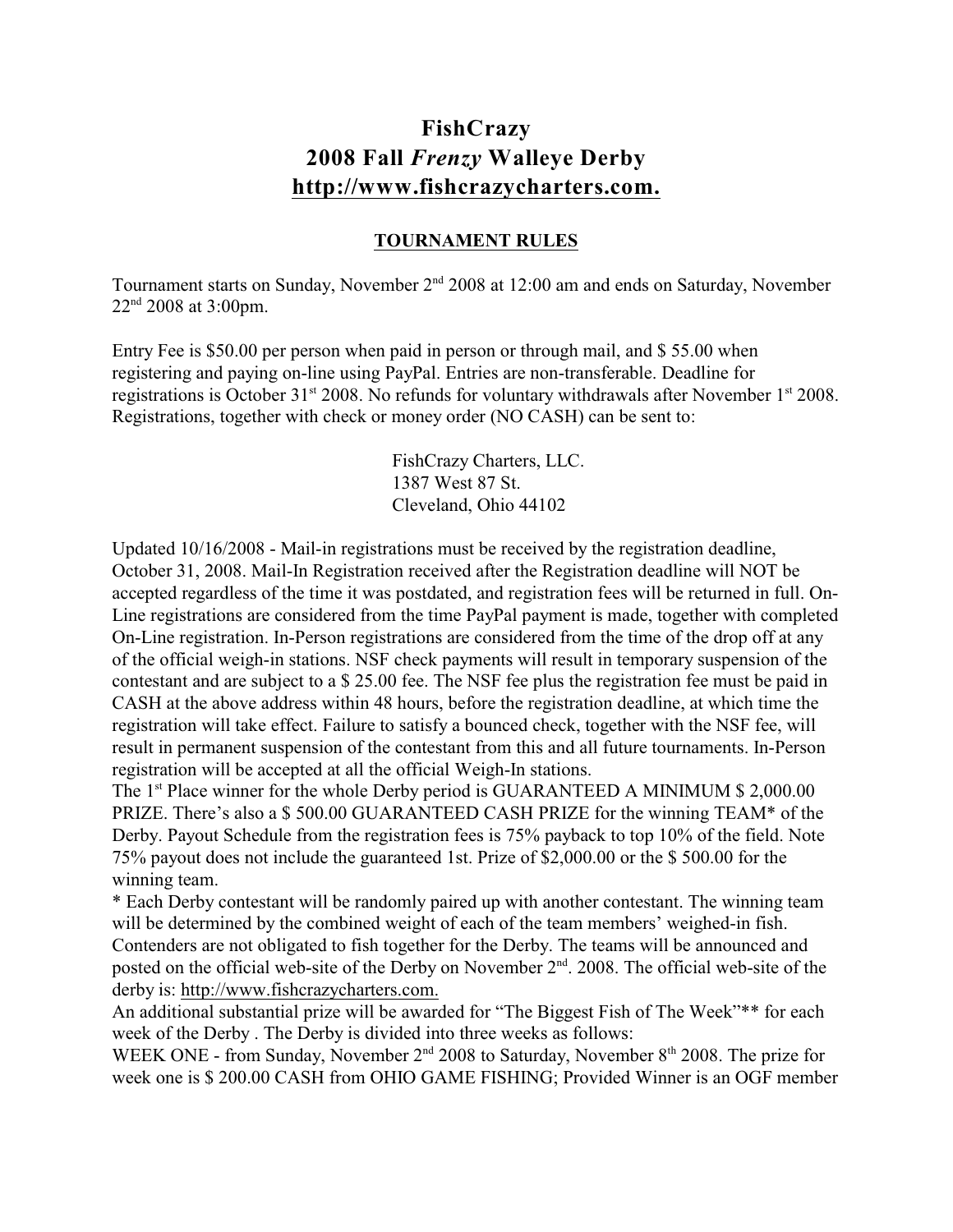## **FishCrazy 2008 Fall** *Frenzy* **Walleye Derby <http://www.fishcrazycharters.com.>**

## **TOURNAMENT RULES**

Tournament starts on Sunday, November 2<sup>nd</sup> 2008 at 12:00 am and ends on Saturday, November  $22<sup>nd</sup> 2008$  at 3:00pm.

Entry Fee is \$50.00 per person when paid in person or through mail, and \$ 55.00 when registering and paying on-line using PayPal. Entries are non-transferable. Deadline for registrations is October 31<sup>st</sup> 2008. No refunds for voluntary withdrawals after November 1<sup>st</sup> 2008. Registrations, together with check or money order (NO CASH) can be sent to:

> FishCrazy Charters, LLC. 1387 West 87 St. Cleveland, Ohio 44102

Updated 10/16/2008 - Mail-in registrations must be received by the registration deadline, October 31, 2008. Mail-In Registration received after the Registration deadline will NOT be accepted regardless of the time it was postdated, and registration fees will be returned in full. On-Line registrations are considered from the time PayPal payment is made, together with completed On-Line registration. In-Person registrations are considered from the time of the drop off at any of the official weigh-in stations. NSF check payments will result in temporary suspension of the contestant and are subject to a \$ 25.00 fee. The NSF fee plus the registration fee must be paid in CASH at the above address within 48 hours, before the registration deadline, at which time the registration will take effect. Failure to satisfy a bounced check, together with the NSF fee, will result in permanent suspension of the contestant from this and all future tournaments. In-Person registration will be accepted at all the official Weigh-In stations.

The  $1<sup>st</sup>$  Place winner for the whole Derby period is GUARANTEED A MINIMUM \$ 2,000.00 PRIZE. There's also a \$ 500.00 GUARANTEED CASH PRIZE for the winning TEAM\* of the Derby. Payout Schedule from the registration fees is 75% payback to top 10% of the field. Note 75% payout does not include the guaranteed 1st. Prize of \$2,000.00 or the \$ 500.00 for the winning team.

\* Each Derby contestant will be randomly paired up with another contestant. The winning team will be determined by the combined weight of each of the team members' weighed-in fish. Contenders are not obligated to fish together for the Derby. The teams will be announced and posted on the official web-site of the Derby on November  $2<sup>nd</sup>$ . 2008. The official web-site of the derby is: [http://www.fishcrazycharters.com.](http://fishcrazycharters.com.)

An additional substantial prize will be awarded for "The Biggest Fish of The Week"\*\* for each week of the Derby . The Derby is divided into three weeks as follows:

WEEK ONE - from Sunday, November  $2<sup>nd</sup>$  2008 to Saturday, November  $8<sup>th</sup>$  2008. The prize for week one is \$ 200.00 CASH from OHIO GAME FISHING; Provided Winner is an OGF member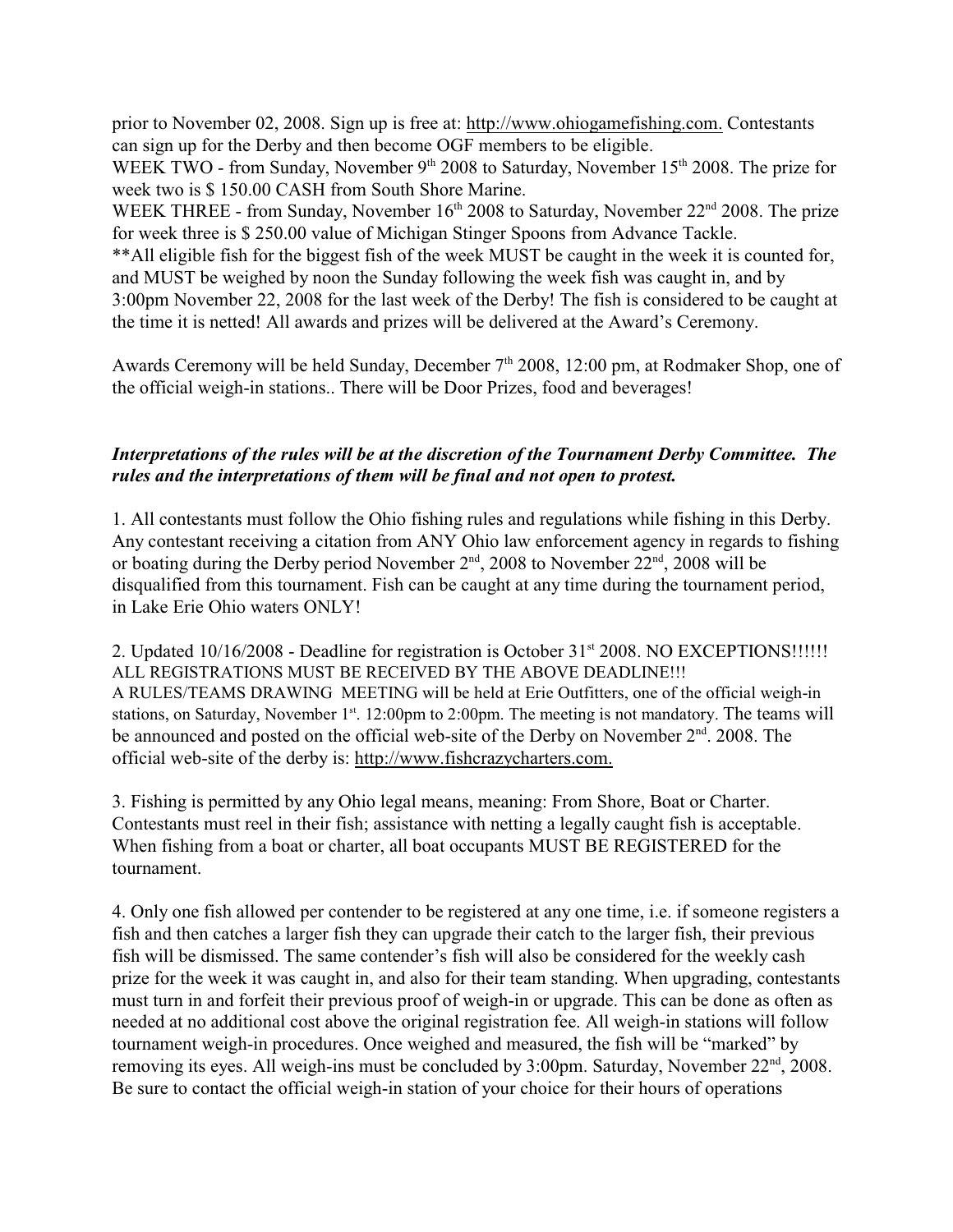prior to November 02, 2008. Sign up is free at:<http://www.ohiogamefishing.com.> Contestants can sign up for the Derby and then become OGF members to be eligible.

WEEK TWO - from Sunday, November  $9<sup>th</sup> 2008$  to Saturday, November 15<sup>th</sup> 2008. The prize for week two is \$ 150.00 CASH from South Shore Marine.

WEEK THREE - from Sunday, November  $16<sup>th</sup>$  2008 to Saturday, November  $22<sup>nd</sup>$  2008. The prize for week three is \$ 250.00 value of Michigan Stinger Spoons from Advance Tackle.

\*\*All eligible fish for the biggest fish of the week MUST be caught in the week it is counted for, and MUST be weighed by noon the Sunday following the week fish was caught in, and by 3:00pm November 22, 2008 for the last week of the Derby! The fish is considered to be caught at the time it is netted! All awards and prizes will be delivered at the Award's Ceremony.

Awards Ceremony will be held Sunday, December 7<sup>th</sup> 2008, 12:00 pm, at Rodmaker Shop, one of the official weigh-in stations.. There will be Door Prizes, food and beverages!

## *Interpretations of the rules will be at the discretion of the Tournament Derby Committee. The rules and the interpretations of them will be final and not open to protest.*

1. All contestants must follow the Ohio fishing rules and regulations while fishing in this Derby. Any contestant receiving a citation from ANY Ohio law enforcement agency in regards to fishing or boating during the Derby period November  $2<sup>nd</sup>$ , 2008 to November  $22<sup>nd</sup>$ , 2008 will be disqualified from this tournament. Fish can be caught at any time during the tournament period, in Lake Erie Ohio waters ONLY!

2. Updated  $10/16/2008$  - Deadline for registration is October  $31<sup>st</sup> 2008$ . NO EXCEPTIONS!!!!!! ALL REGISTRATIONS MUST BE RECEIVED BY THE ABOVE DEADLINE!!! A RULES/TEAMS DRAWING MEETING will be held at Erie Outfitters, one of the official weigh-in stations, on Saturday, November  $1<sup>st</sup>$ . 12:00pm to 2:00pm. The meeting is not mandatory. The teams will be announced and posted on the official web-site of the Derby on November  $2<sup>nd</sup>$ . 2008. The official web-site of the derby is: [http://www.fishcrazycharters.com.](http://fishcrazycharters.com.)

3. Fishing is permitted by any Ohio legal means, meaning: From Shore, Boat or Charter. Contestants must reel in their fish; assistance with netting a legally caught fish is acceptable. When fishing from a boat or charter, all boat occupants MUST BE REGISTERED for the tournament.

4. Only one fish allowed per contender to be registered at any one time, i.e. if someone registers a fish and then catches a larger fish they can upgrade their catch to the larger fish, their previous fish will be dismissed. The same contender's fish will also be considered for the weekly cash prize for the week it was caught in, and also for their team standing. When upgrading, contestants must turn in and forfeit their previous proof of weigh-in or upgrade. This can be done as often as needed at no additional cost above the original registration fee. All weigh-in stations will follow tournament weigh-in procedures. Once weighed and measured, the fish will be "marked" by removing its eyes. All weigh-ins must be concluded by  $3:00 \text{pm}$ . Saturday, November  $22^{\text{nd}}$ ,  $2008$ . Be sure to contact the official weigh-in station of your choice for their hours of operations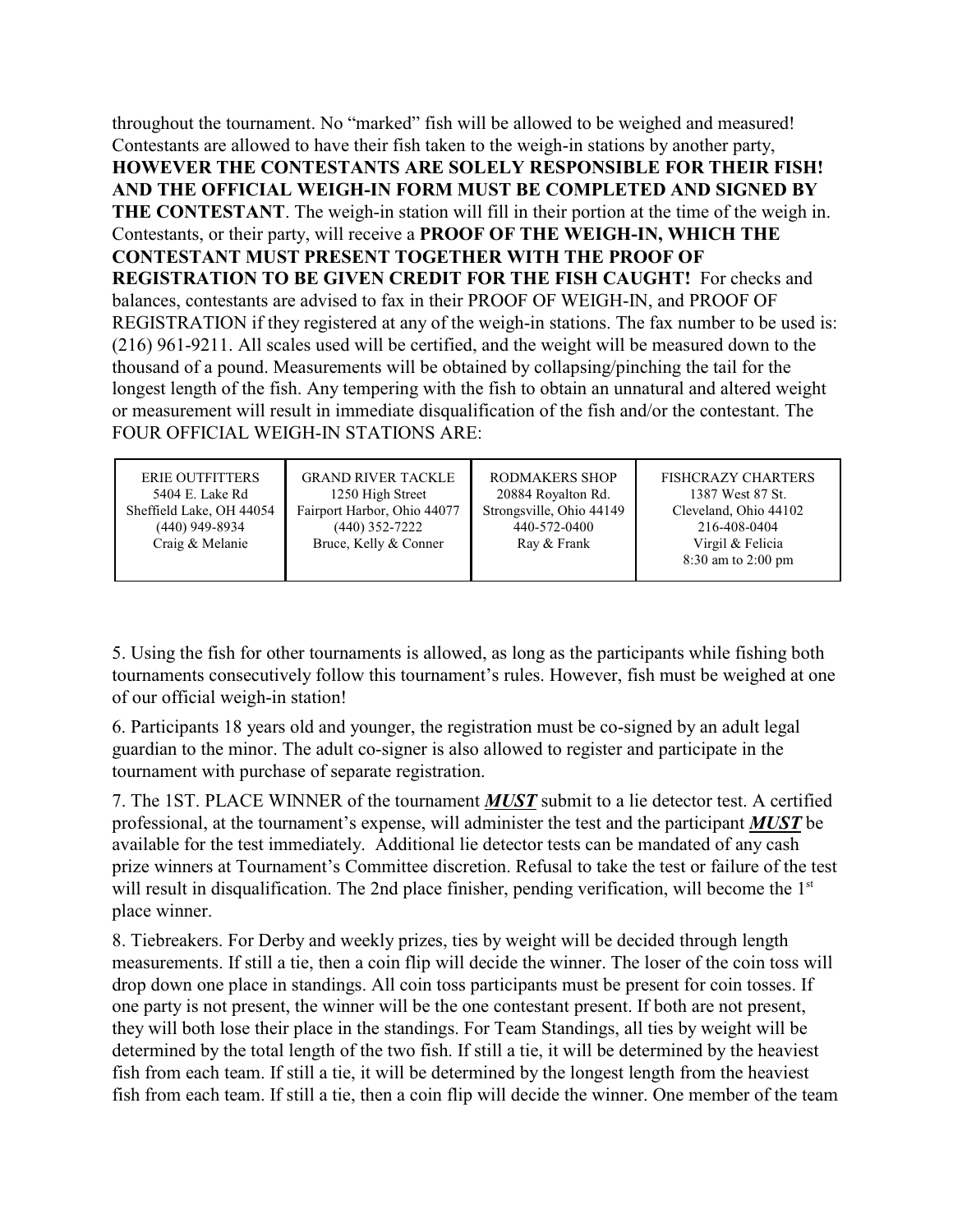throughout the tournament. No "marked" fish will be allowed to be weighed and measured! Contestants are allowed to have their fish taken to the weigh-in stations by another party, **HOWEVER THE CONTESTANTS ARE SOLELY RESPONSIBLE FOR THEIR FISH! AND THE OFFICIAL WEIGH-IN FORM MUST BE COMPLETED AND SIGNED BY THE CONTESTANT**. The weigh-in station will fill in their portion at the time of the weigh in. Contestants, or their party, will receive a **PROOF OF THE WEIGH-IN, WHICH THE CONTESTANT MUST PRESENT TOGETHER WITH THE PROOF OF REGISTRATION TO BE GIVEN CREDIT FOR THE FISH CAUGHT!** For checks and balances, contestants are advised to fax in their PROOF OF WEIGH-IN, and PROOF OF REGISTRATION if they registered at any of the weigh-in stations. The fax number to be used is: (216) 961-9211. All scales used will be certified, and the weight will be measured down to the thousand of a pound. Measurements will be obtained by collapsing/pinching the tail for the longest length of the fish. Any tempering with the fish to obtain an unnatural and altered weight or measurement will result in immediate disqualification of the fish and/or the contestant. The FOUR OFFICIAL WEIGH-IN STATIONS ARE:

| <b>ERIE OUTFITTERS</b>   | <b>GRAND RIVER TACKLE</b>   | RODMAKERS SHOP           | <b>FISHCRAZY CHARTERS</b> |
|--------------------------|-----------------------------|--------------------------|---------------------------|
| 5404 E. Lake Rd          | 1250 High Street            | 20884 Royalton Rd.       | 1387 West 87 St.          |
| Sheffield Lake, OH 44054 | Fairport Harbor, Ohio 44077 | Strongsville, Ohio 44149 | Cleveland, Ohio 44102     |
| $(440)$ 949-8934         | $(440)$ 352-7222            | 440-572-0400             | 216-408-0404              |
| Craig & Melanie          | Bruce, Kelly & Conner       | Ray & Frank              | Virgil & Felicia          |
|                          |                             |                          | $8:30$ am to 2:00 pm      |

5. Using the fish for other tournaments is allowed, as long as the participants while fishing both tournaments consecutively follow this tournament's rules. However, fish must be weighed at one of our official weigh-in station!

6. Participants 18 years old and younger, the registration must be co-signed by an adult legal guardian to the minor. The adult co-signer is also allowed to register and participate in the tournament with purchase of separate registration.

7. The 1ST. PLACE WINNER of the tournament *MUST* submit to a lie detector test. A certified professional, at the tournament's expense, will administer the test and the participant *MUST* be available for the test immediately. Additional lie detector tests can be mandated of any cash prize winners at Tournament's Committee discretion. Refusal to take the test or failure of the test will result in disqualification. The 2nd place finisher, pending verification, will become the 1<sup>st</sup> place winner.

8. Tiebreakers. For Derby and weekly prizes, ties by weight will be decided through length measurements. If still a tie, then a coin flip will decide the winner. The loser of the coin toss will drop down one place in standings. All coin toss participants must be present for coin tosses. If one party is not present, the winner will be the one contestant present. If both are not present, they will both lose their place in the standings. For Team Standings, all ties by weight will be determined by the total length of the two fish. If still a tie, it will be determined by the heaviest fish from each team. If still a tie, it will be determined by the longest length from the heaviest fish from each team. If still a tie, then a coin flip will decide the winner. One member of the team